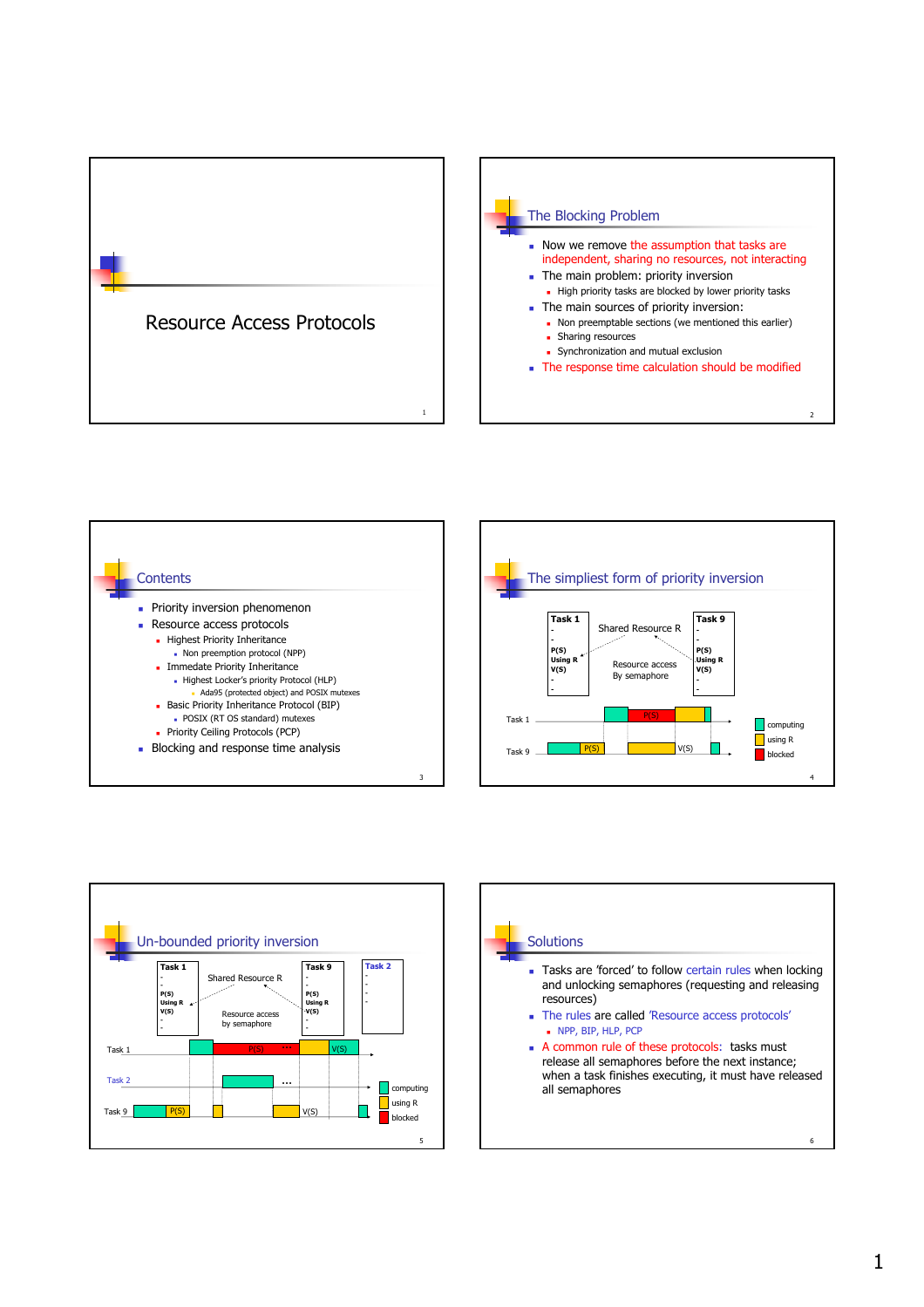









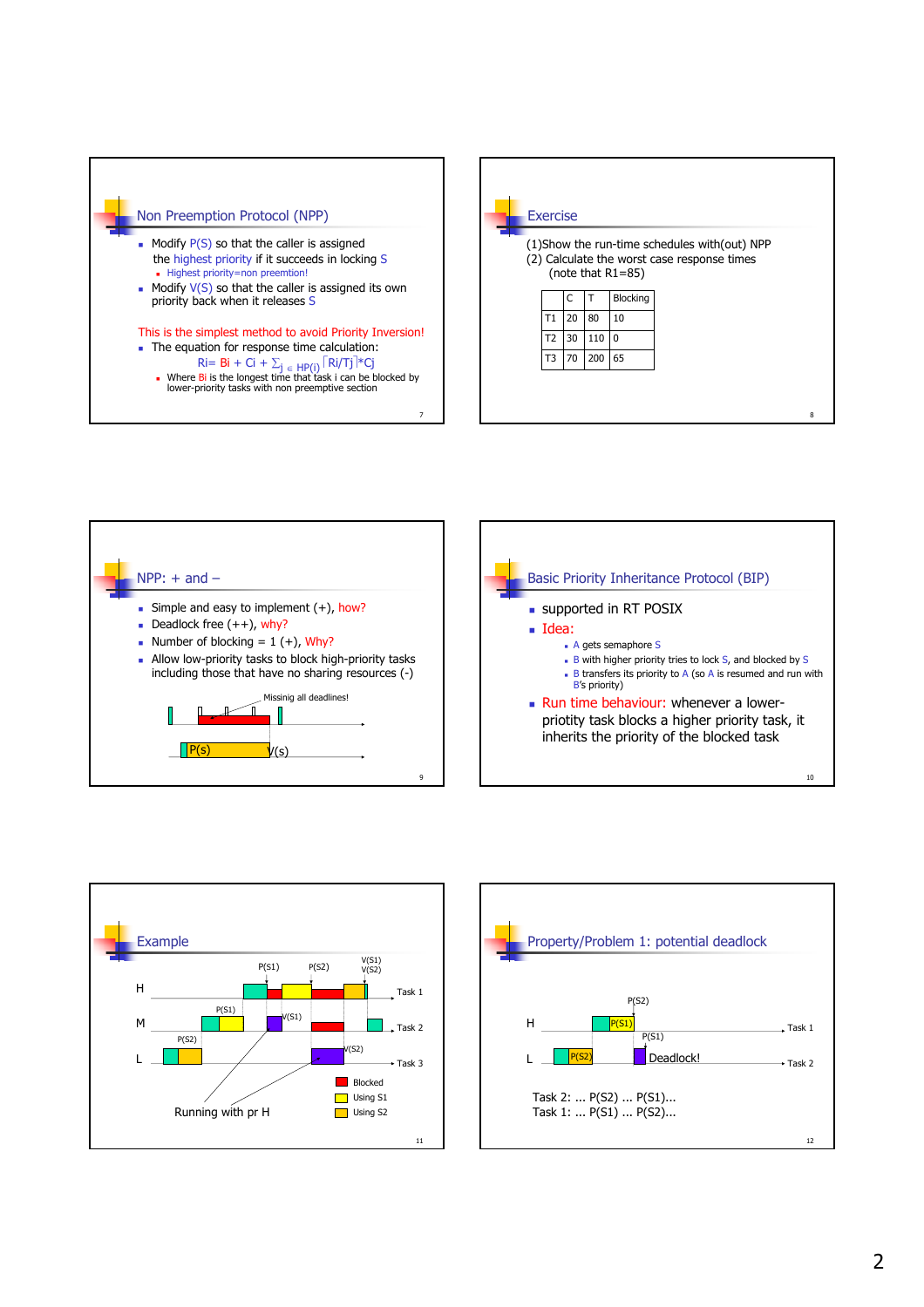







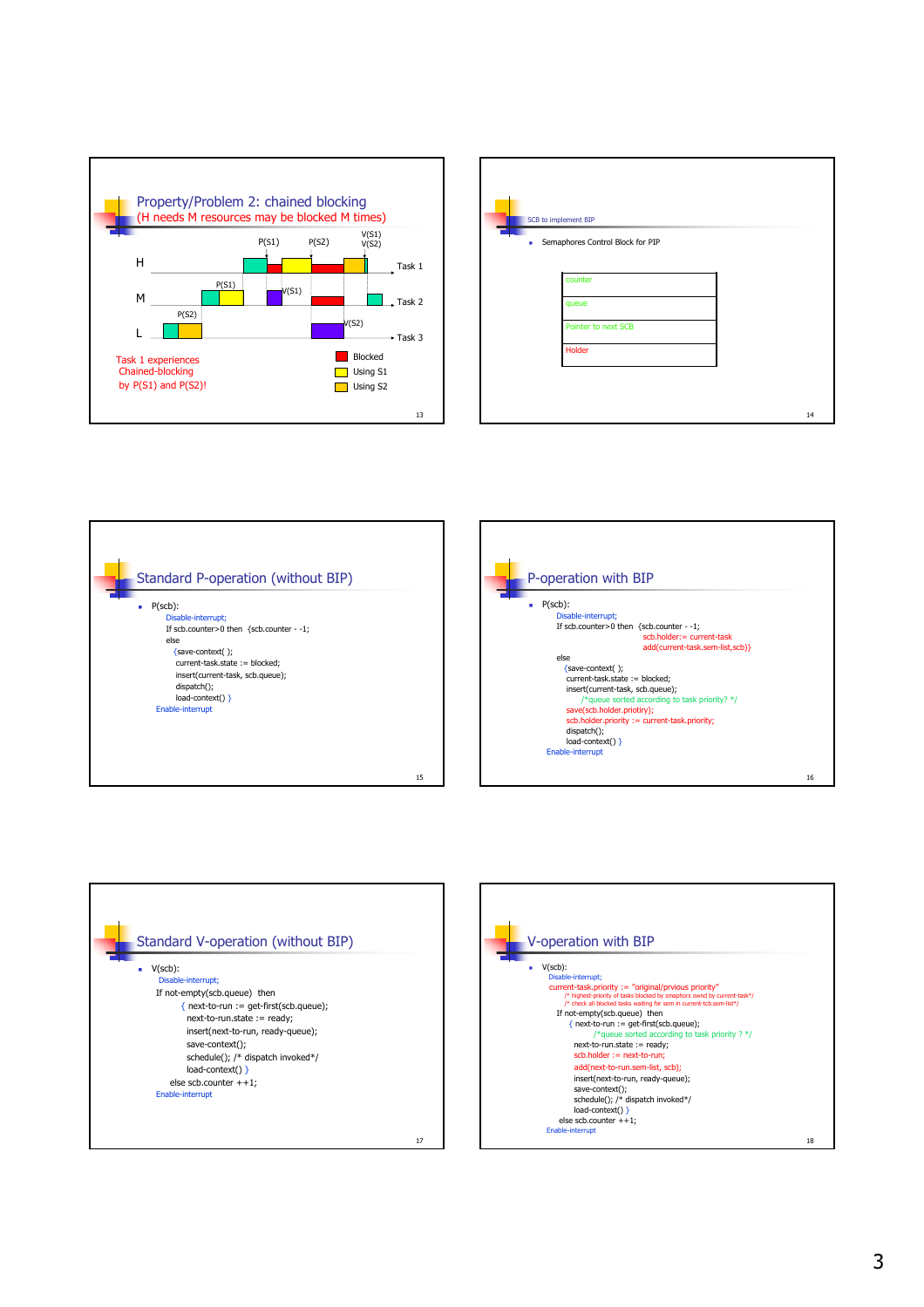

|   | SCB to implement BIP             |    |
|---|----------------------------------|----|
| ٠ | Semaphores Control Block for PIP |    |
|   | counter                          |    |
|   | queue                            |    |
|   | Pointer to next SCB              |    |
|   | Holder                           |    |
|   |                                  |    |
|   |                                  | 14 |







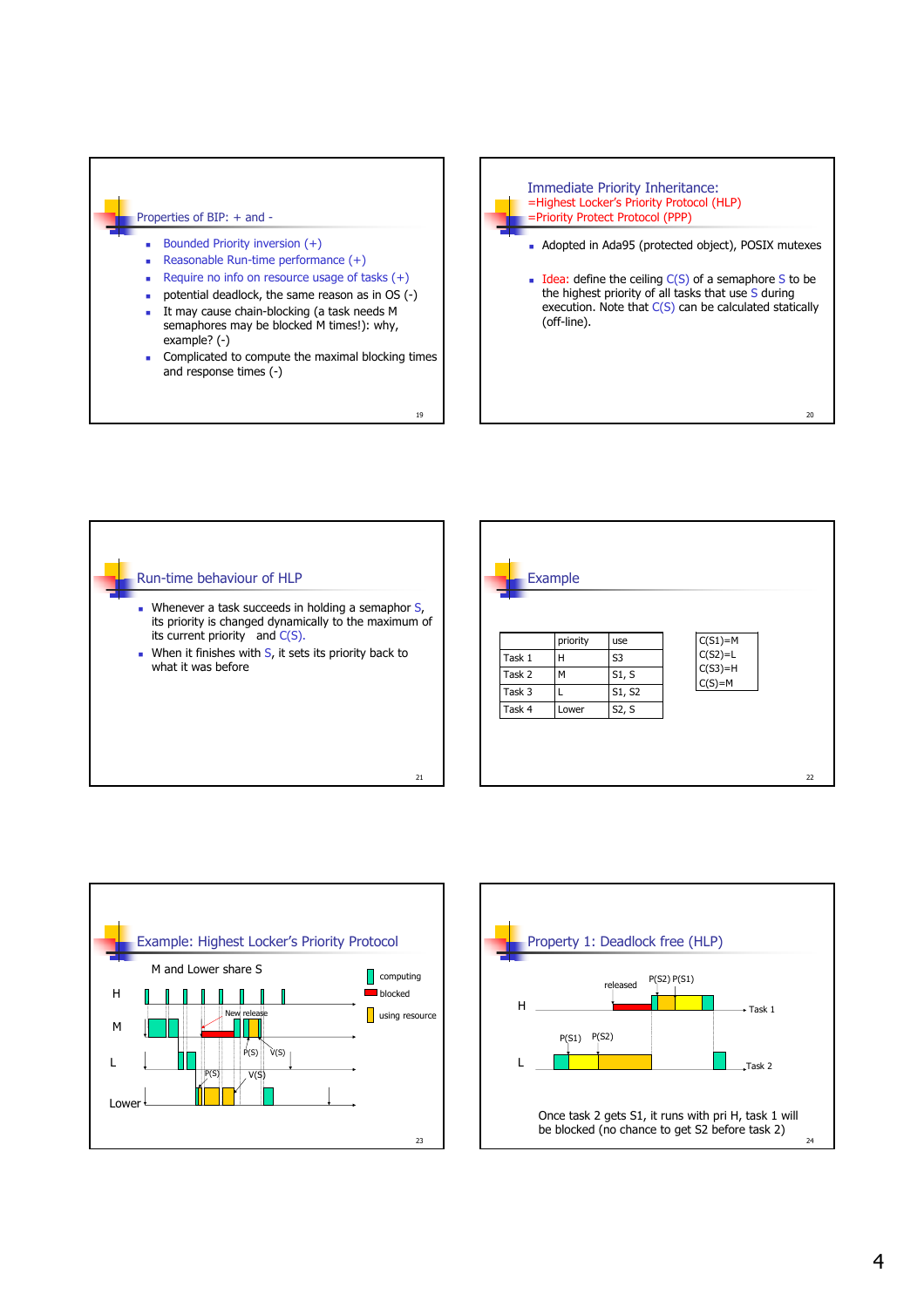## Properties of BIP: + and -

- Bounded Priority inversion (+)
- Reasonable Run-time performance  $(+)$
- Require no info on resource usage of tasks (+)
- potential deadlock, the same reason as in OS (-)
- It may cause chain-blocking (a task needs M semaphores may be blocked M times!): why, example? (-)
- **Complicated to compute the maximal blocking times** and response times (-)





19



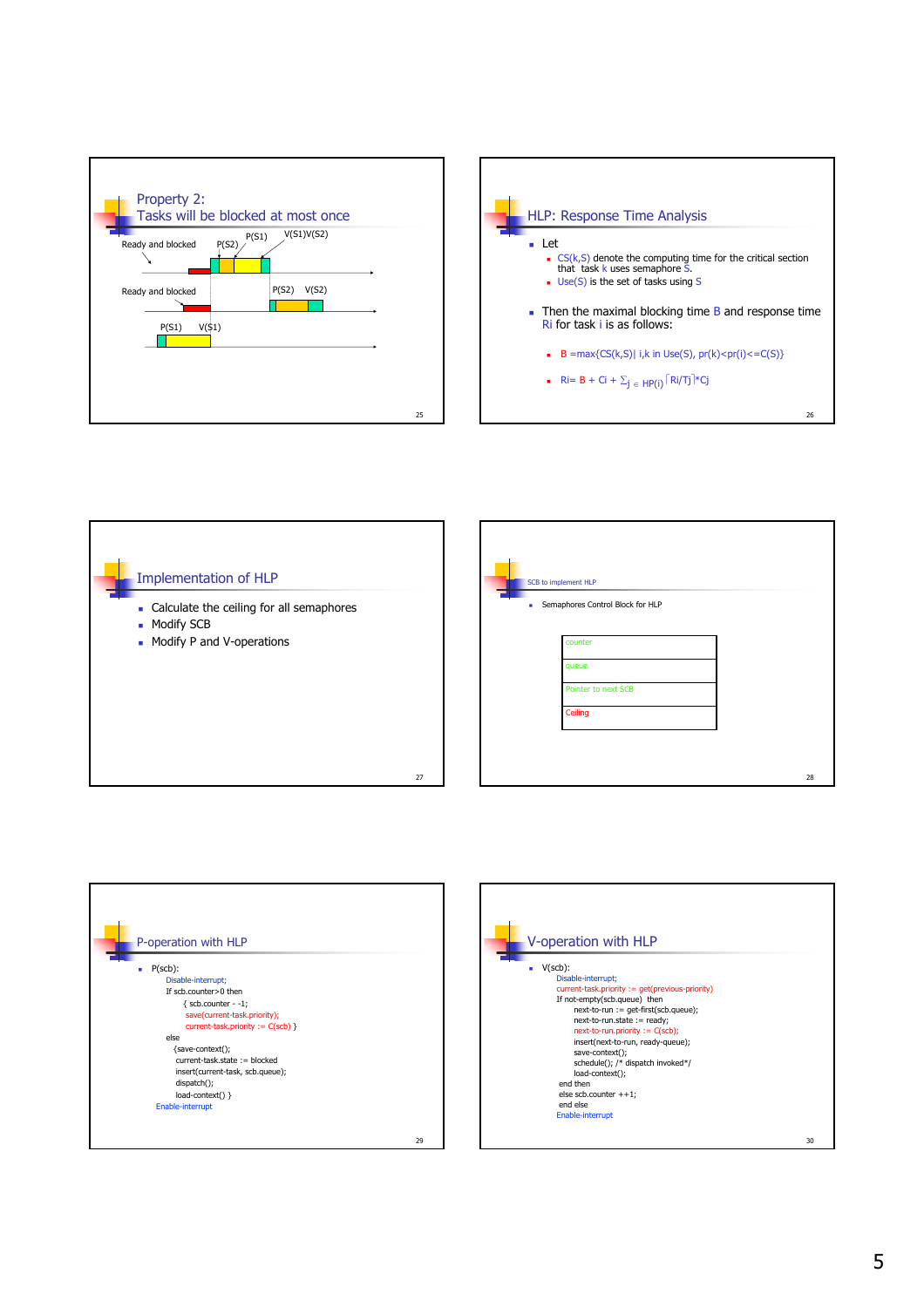







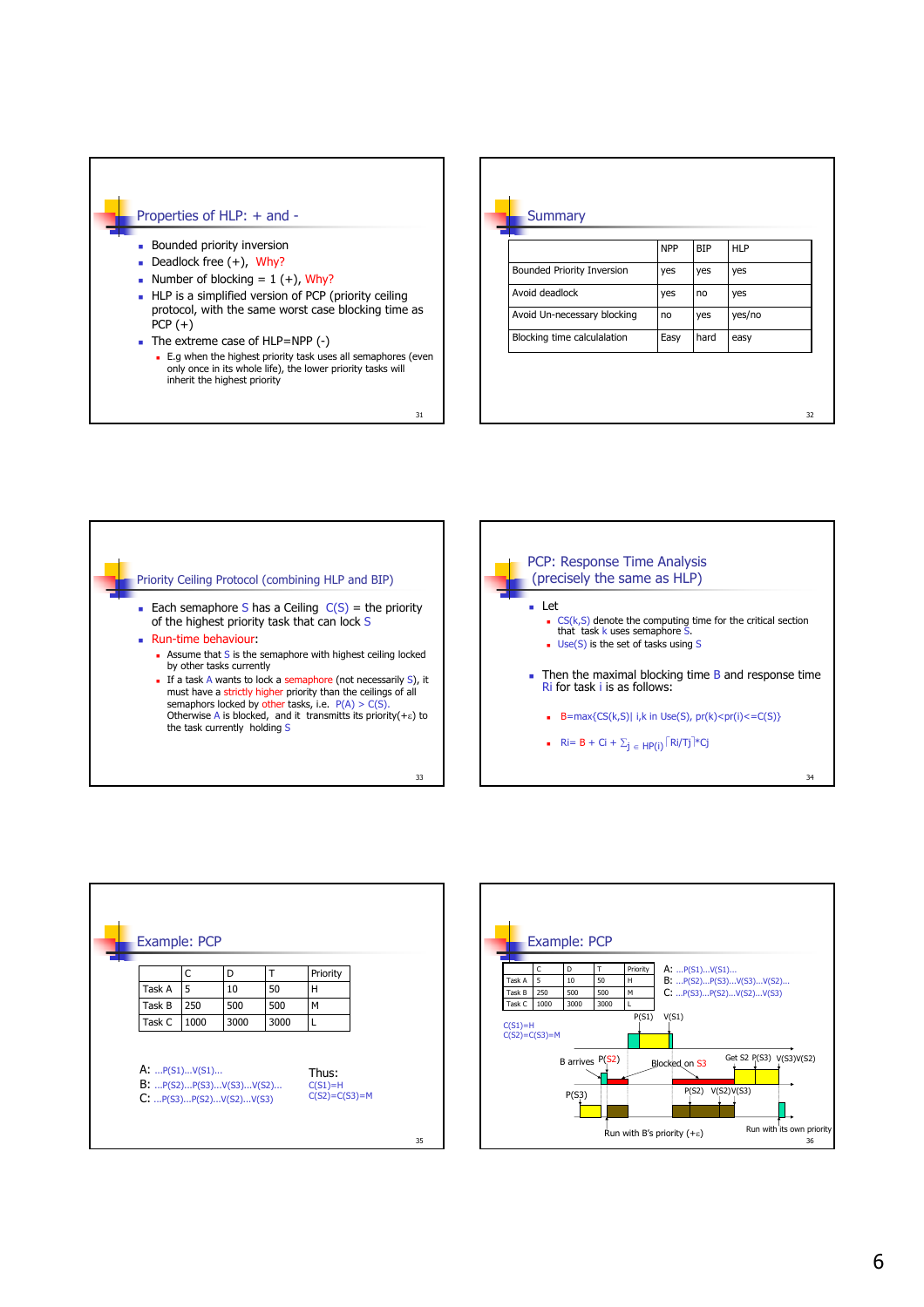## Properties of HLP: + and -

- **Bounded priority inversion**
- Deadlock free  $(+)$ , Why?
- Number of blocking =  $1 (+)$ , Why?
- **HLP** is a simplified version of PCP (priority ceiling protocol, with the same worst case blocking time as  $PCP (+)$
- The extreme case of HLP=NPP (-)
	- E.g when the highest priority task uses all semaphores (even only once in its whole life), the lower priority tasks will inherit the highest priority

| <b>Bounded Priority Inversion</b> | <b>NPP</b><br>yes | <b>BIP</b><br>yes | <b>HLP</b><br>yes |
|-----------------------------------|-------------------|-------------------|-------------------|
|                                   |                   |                   |                   |
| Avoid deadlock                    | yes               | no                | yes               |
| Avoid Un-necessary blocking       | no                | yes               | yes/no            |
| Blocking time calculalation       | Easy              | hard              | easy              |



31

a.





34